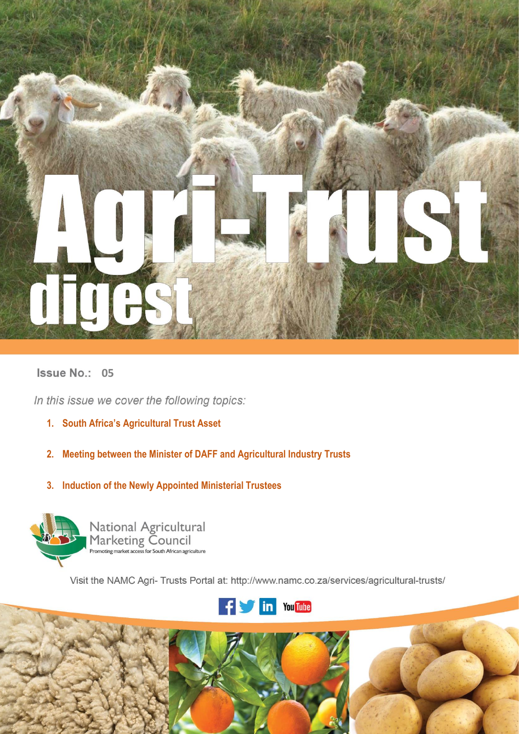

# **Issue No.: 05**

In this issue we cover the following topics:

- **1. South Africa's Agricultural Trust Asset**
- **2. Meeting between the Minister of DAFF and Agricultural Industry Trusts**
- **3. Induction of the Newly Appointed Ministerial Trustees**



National Agricultural<br>Marketing Council<br>Promoting market access for South African agriculture

Visit the NAMC Agri- Trusts Portal at: http://www.namc.co.za/services/agricultural-trusts/



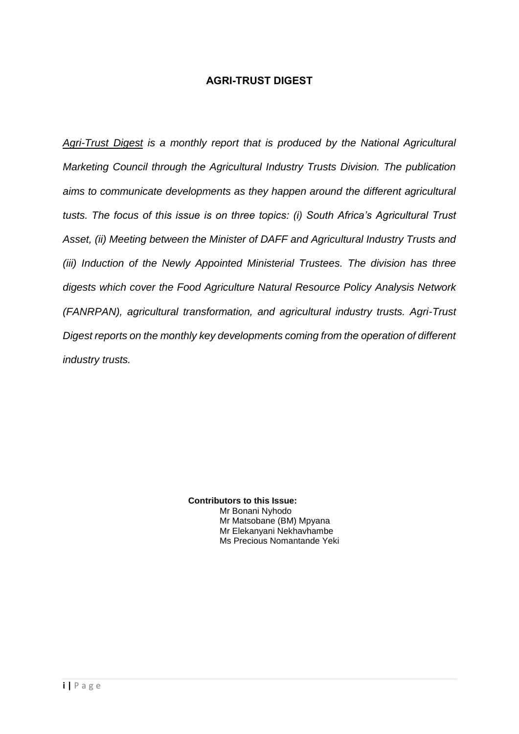# **AGRI-TRUST DIGEST**

*Agri-Trust Digest is a monthly report that is produced by the National Agricultural Marketing Council through the Agricultural Industry Trusts Division. The publication aims to communicate developments as they happen around the different agricultural tusts. The focus of this issue is on three topics: (i) South Africa's Agricultural Trust Asset, (ii) Meeting between the Minister of DAFF and Agricultural Industry Trusts and (iii) Induction of the Newly Appointed Ministerial Trustees. The division has three digests which cover the Food Agriculture Natural Resource Policy Analysis Network (FANRPAN), agricultural transformation, and agricultural industry trusts. Agri-Trust Digest reports on the monthly key developments coming from the operation of different industry trusts.*

> **Contributors to this Issue:**  Mr Bonani Nyhodo Mr Matsobane (BM) Mpyana Mr Elekanyani Nekhavhambe Ms Precious Nomantande Yeki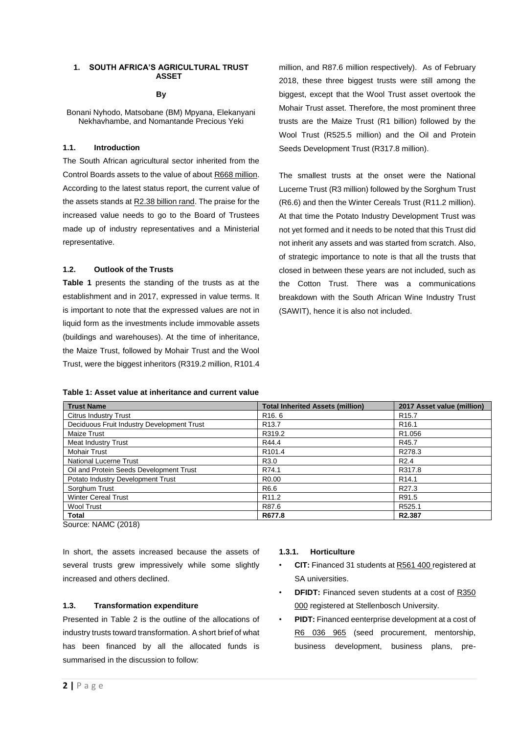### **1. SOUTH AFRICA'S AGRICULTURAL TRUST ASSET**

### **By**

Bonani Nyhodo, Matsobane (BM) Mpyana, Elekanyani Nekhavhambe, and Nomantande Precious Yeki

### **1.1. Introduction**

The South African agricultural sector inherited from the Control Boards assets to the value of about R668 million. According to the latest status report, the current value of the assets stands at  $R2.38$  billion rand. The praise for the increased value needs to go to the Board of Trustees made up of industry representatives and a Ministerial representative.

# **1.2. Outlook of the Trusts**

**Table 1** presents the standing of the trusts as at the establishment and in 2017, expressed in value terms. It is important to note that the expressed values are not in liquid form as the investments include immovable assets (buildings and warehouses). At the time of inheritance, the Maize Trust, followed by Mohair Trust and the Wool Trust, were the biggest inheritors (R319.2 million, R101.4

million, and R87.6 million respectively). As of February 2018, these three biggest trusts were still among the biggest, except that the Wool Trust asset overtook the Mohair Trust asset. Therefore, the most prominent three trusts are the Maize Trust (R1 billion) followed by the Wool Trust (R525.5 million) and the Oil and Protein Seeds Development Trust (R317.8 million).

The smallest trusts at the onset were the National Lucerne Trust (R3 million) followed by the Sorghum Trust (R6.6) and then the Winter Cereals Trust (R11.2 million). At that time the Potato Industry Development Trust was not yet formed and it needs to be noted that this Trust did not inherit any assets and was started from scratch. Also, of strategic importance to note is that all the trusts that closed in between these years are not included, such as the Cotton Trust. There was a communications breakdown with the South African Wine Industry Trust (SAWIT), hence it is also not included.

### **Table 1: Asset value at inheritance and current value**

| <b>Trust Name</b>                          | <b>Total Inherited Assets (million)</b> | 2017 Asset value (million) |
|--------------------------------------------|-----------------------------------------|----------------------------|
| <b>Citrus Industry Trust</b>               | R <sub>16</sub> .6                      | R <sub>15.7</sub>          |
| Deciduous Fruit Industry Development Trust | R <sub>13.7</sub>                       | R <sub>16.1</sub>          |
| <b>Maize Trust</b>                         | R319.2                                  | R <sub>1.056</sub>         |
| <b>Meat Industry Trust</b>                 | R44.4                                   | R45.7                      |
| <b>Mohair Trust</b>                        | R <sub>101.4</sub>                      | R278.3                     |
| <b>National Lucerne Trust</b>              | R <sub>3.0</sub>                        | R <sub>2.4</sub>           |
| Oil and Protein Seeds Development Trust    | R74.1                                   | R317.8                     |
| Potato Industry Development Trust          | R <sub>0</sub> .00                      | R <sub>14.1</sub>          |
| Sorghum Trust                              | R6.6                                    | R <sub>27.3</sub>          |
| <b>Winter Cereal Trust</b>                 | R <sub>11.2</sub>                       | R91.5                      |
| <b>Wool Trust</b>                          | R87.6                                   | R <sub>525.1</sub>         |
| Total                                      | R677.8                                  | R2.387                     |

Source: NAMC (2018)

In short, the assets increased because the assets of several trusts grew impressively while some slightly increased and others declined.

# **1.3. Transformation expenditure**

Presented in Table 2 is the outline of the allocations of industry trusts toward transformation. A short brief of what has been financed by all the allocated funds is summarised in the discussion to follow:

### **1.3.1. Horticulture**

- **CIT:** Financed 31 students at R561 400 registered at SA universities.
- **DFIDT:** Financed seven students at a cost of R350 000 registered at Stellenbosch University.
- **PIDT:** Financed eenterprise development at a cost of R6 036 965 (seed procurement, mentorship, business development, business plans, pre-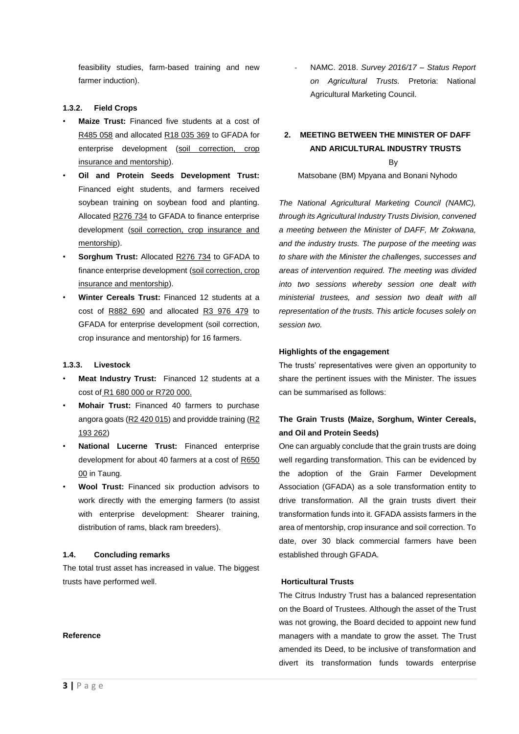feasibility studies, farm-based training and new farmer induction).

# **1.3.2. Field Crops**

- **Maize Trust:** Financed five students at a cost of R485 058 and allocated R18 035 369 to GFADA for enterprise development (soil correction, crop insurance and mentorship).
- **Oil and Protein Seeds Development Trust:** Financed eight students, and farmers received soybean training on soybean food and planting. Allocated R276 734 to GFADA to finance enterprise development (soil correction, crop insurance and mentorship).
- **Sorghum Trust:** Allocated R276 734 to GFADA to finance enterprise development (soil correction, crop insurance and mentorship).
- **Winter Cereals Trust:** Financed 12 students at a cost of R882 690 and allocated R3 976 479 to GFADA for enterprise development (soil correction, crop insurance and mentorship) for 16 farmers.

#### **1.3.3. Livestock**

- **Meat Industry Trust:** Financed 12 students at a cost of R1 680 000 or R720 000.
- **Mohair Trust:** Financed 40 farmers to purchase angora goats (R2 420 015) and providde training (R2 193 262)
- **National Lucerne Trust:** Financed enterprise development for about 40 farmers at a cost of R650 00 in Taung.
- **Wool Trust:** Financed six production advisors to work directly with the emerging farmers (to assist with enterprise development: Shearer training, distribution of rams, black ram breeders).

### **1.4. Concluding remarks**

The total trust asset has increased in value. The biggest trusts have performed well.

- NAMC. 2018. *Survey 2016/17 – Status Report on Agricultural Trusts.* Pretoria: National Agricultural Marketing Council.

# **2. MEETING BETWEEN THE MINISTER OF DAFF AND ARICULTURAL INDUSTRY TRUSTS** By

Matsobane (BM) Mpyana and Bonani Nyhodo

*The National Agricultural Marketing Council (NAMC), through its Agricultural Industry Trusts Division, convened a meeting between the Minister of DAFF, Mr Zokwana, and the industry trusts. The purpose of the meeting was to share with the Minister the challenges, successes and areas of intervention required. The meeting was divided into two sessions whereby session one dealt with ministerial trustees, and session two dealt with all representation of the trusts. This article focuses solely on session two.* 

### **Highlights of the engagement**

The trusts' representatives were given an opportunity to share the pertinent issues with the Minister. The issues can be summarised as follows:

# **The Grain Trusts (Maize, Sorghum, Winter Cereals, and Oil and Protein Seeds)**

One can arguably conclude that the grain trusts are doing well regarding transformation. This can be evidenced by the adoption of the Grain Farmer Development Association (GFADA) as a sole transformation entity to drive transformation. All the grain trusts divert their transformation funds into it. GFADA assists farmers in the area of mentorship, crop insurance and soil correction. To date, over 30 black commercial farmers have been established through GFADA.

### **Horticultural Trusts**

The Citrus Industry Trust has a balanced representation on the Board of Trustees. Although the asset of the Trust was not growing, the Board decided to appoint new fund managers with a mandate to grow the asset. The Trust amended its Deed, to be inclusive of transformation and divert its transformation funds towards enterprise

#### **Reference**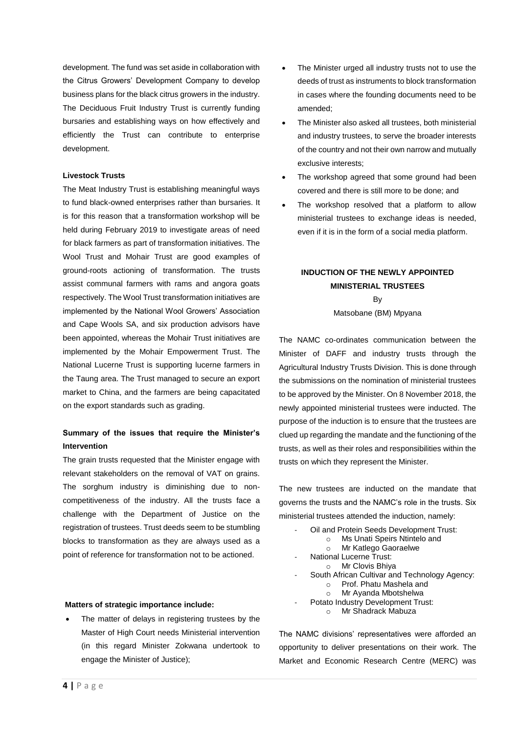development. The fund was set aside in collaboration with the Citrus Growers' Development Company to develop business plans for the black citrus growers in the industry. The Deciduous Fruit Industry Trust is currently funding bursaries and establishing ways on how effectively and efficiently the Trust can contribute to enterprise development.

# **Livestock Trusts**

The Meat Industry Trust is establishing meaningful ways to fund black-owned enterprises rather than bursaries. It is for this reason that a transformation workshop will be held during February 2019 to investigate areas of need for black farmers as part of transformation initiatives. The Wool Trust and Mohair Trust are good examples of ground-roots actioning of transformation. The trusts assist communal farmers with rams and angora goats respectively. The Wool Trust transformation initiatives are implemented by the National Wool Growers' Association and Cape Wools SA, and six production advisors have been appointed, whereas the Mohair Trust initiatives are implemented by the Mohair Empowerment Trust. The National Lucerne Trust is supporting lucerne farmers in the Taung area. The Trust managed to secure an export market to China, and the farmers are being capacitated on the export standards such as grading.

# **Summary of the issues that require the Minister's Intervention**

The grain trusts requested that the Minister engage with relevant stakeholders on the removal of VAT on grains. The sorghum industry is diminishing due to noncompetitiveness of the industry. All the trusts face a challenge with the Department of Justice on the registration of trustees. Trust deeds seem to be stumbling blocks to transformation as they are always used as a point of reference for transformation not to be actioned.

#### **Matters of strategic importance include:**

The matter of delays in registering trustees by the Master of High Court needs Ministerial intervention (in this regard Minister Zokwana undertook to engage the Minister of Justice);

- The Minister urged all industry trusts not to use the deeds of trust as instruments to block transformation in cases where the founding documents need to be amended;
- The Minister also asked all trustees, both ministerial and industry trustees, to serve the broader interests of the country and not their own narrow and mutually exclusive interests;
- The workshop agreed that some ground had been covered and there is still more to be done; and
- The workshop resolved that a platform to allow ministerial trustees to exchange ideas is needed, even if it is in the form of a social media platform.

# **INDUCTION OF THE NEWLY APPOINTED MINISTERIAL TRUSTEES B<sub>V</sub>**

### Matsobane (BM) Mpyana

The NAMC co-ordinates communication between the Minister of DAFF and industry trusts through the Agricultural Industry Trusts Division. This is done through the submissions on the nomination of ministerial trustees to be approved by the Minister. On 8 November 2018, the newly appointed ministerial trustees were inducted. The purpose of the induction is to ensure that the trustees are clued up regarding the mandate and the functioning of the trusts, as well as their roles and responsibilities within the trusts on which they represent the Minister.

The new trustees are inducted on the mandate that governs the trusts and the NAMC's role in the trusts. Six ministerial trustees attended the induction, namely:

- Oil and Protein Seeds Development Trust:
	- o Ms Unati Speirs Ntintelo and
	- o Mr Katlego Gaoraelwe
- National Lucerne Trust:
- o Mr Clovis Bhiya
- South African Cultivar and Technology Agency:
	- o Prof. Phatu Mashela and
	- o Mr Ayanda Mbotshelwa
- Potato Industry Development Trust:
	- o Mr Shadrack Mabuza

The NAMC divisions' representatives were afforded an opportunity to deliver presentations on their work. The Market and Economic Research Centre (MERC) was